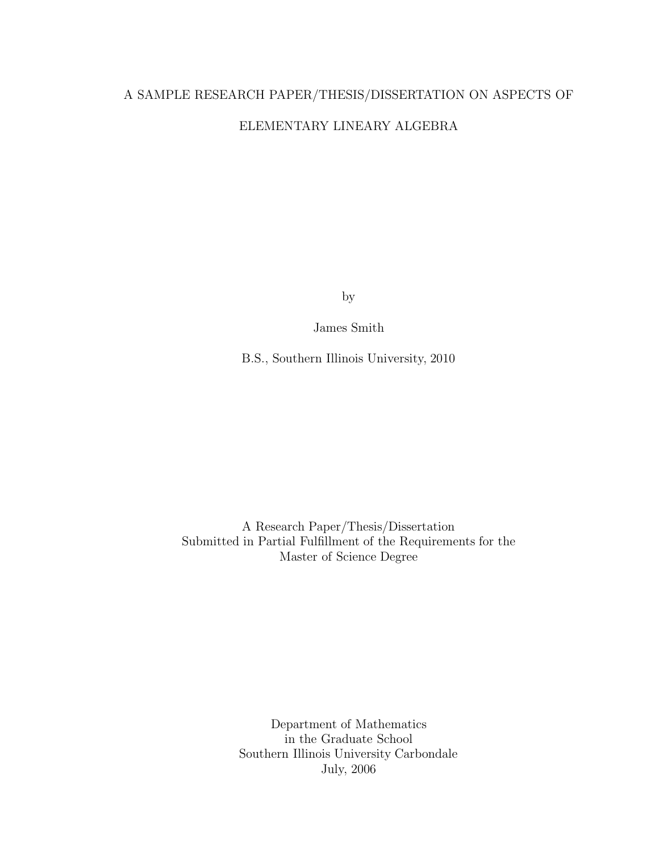# A SAMPLE RESEARCH PAPER/THESIS/DISSERTATION ON ASPECTS OF ELEMENTARY LINEARY ALGEBRA

by

James Smith

B.S., Southern Illinois University, 2010

A Research Paper/Thesis/Dissertation Submitted in Partial Fulfillment of the Requirements for the Master of Science Degree

> Department of Mathematics in the Graduate School Southern Illinois University Carbondale July, 2006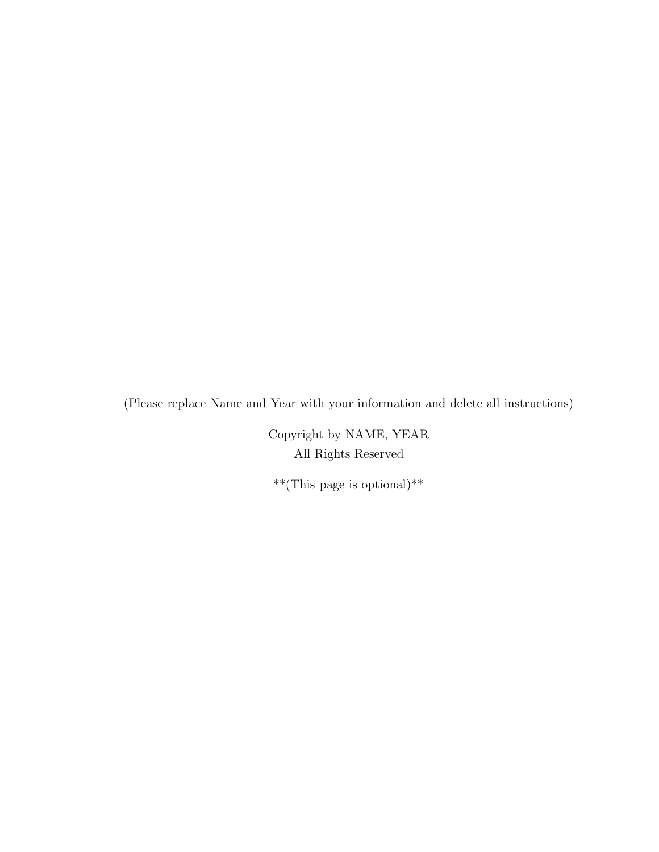(Please replace Name and Year with your information and delete all instructions)

Copyright by NAME, YEAR All Rights Reserved

\*\*(This page is optional)\*\*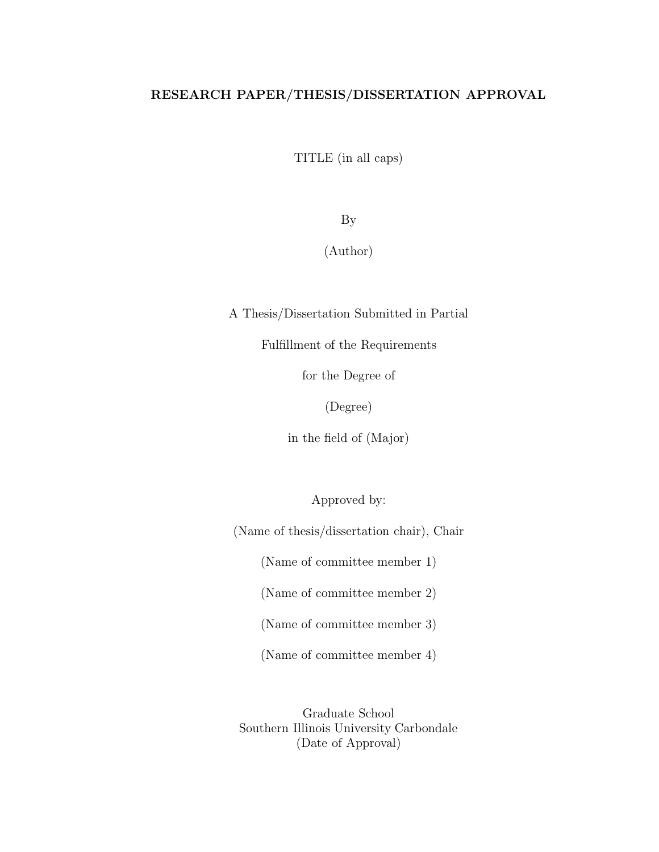## RESEARCH PAPER/THESIS/DISSERTATION APPROVAL

TITLE (in all caps)

By

(Author)

A Thesis/Dissertation Submitted in Partial

Fulfillment of the Requirements

for the Degree of

(Degree)

in the field of (Major)

Approved by:

(Name of thesis/dissertation chair), Chair

(Name of committee member 1)

(Name of committee member 2)

(Name of committee member 3)

(Name of committee member 4)

Graduate School Southern Illinois University Carbondale (Date of Approval)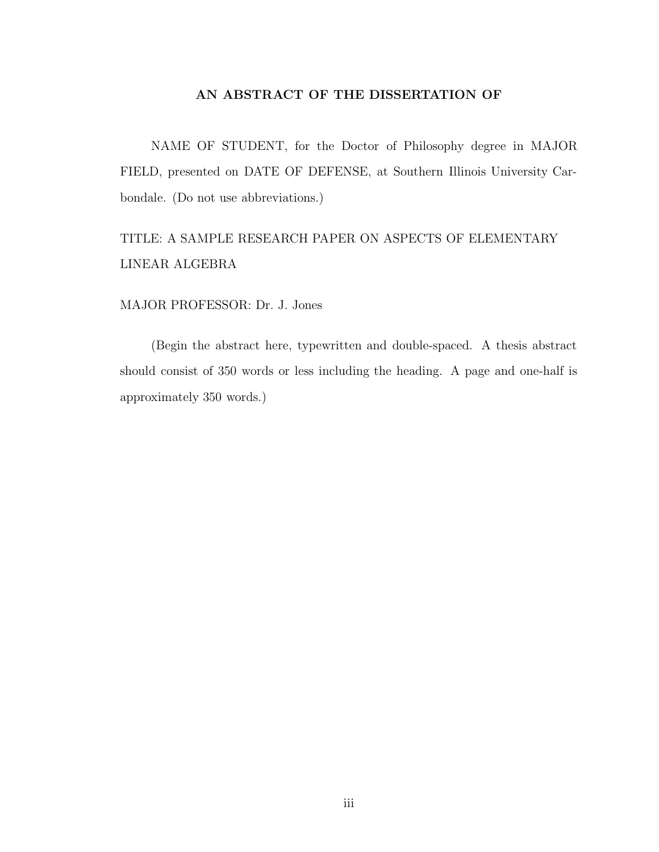### AN ABSTRACT OF THE DISSERTATION OF

NAME OF STUDENT, for the Doctor of Philosophy degree in MAJOR FIELD, presented on DATE OF DEFENSE, at Southern Illinois University Carbondale. (Do not use abbreviations.)

# TITLE: A SAMPLE RESEARCH PAPER ON ASPECTS OF ELEMENTARY LINEAR ALGEBRA

#### MAJOR PROFESSOR: Dr. J. Jones

(Begin the abstract here, typewritten and double-spaced. A thesis abstract should consist of 350 words or less including the heading. A page and one-half is approximately 350 words.)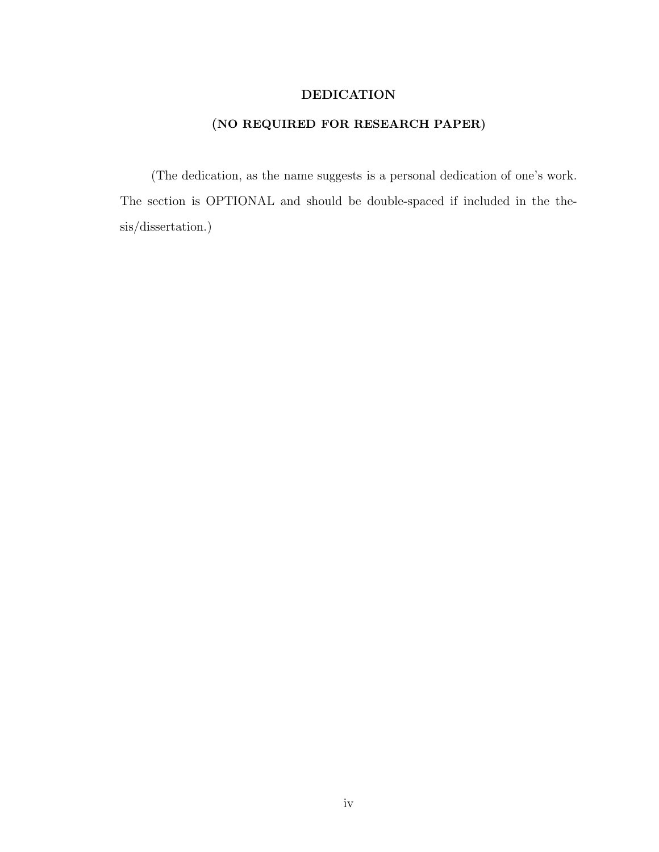### DEDICATION

## (NO REQUIRED FOR RESEARCH PAPER)

(The dedication, as the name suggests is a personal dedication of one's work. The section is OPTIONAL and should be double-spaced if included in the thesis/dissertation.)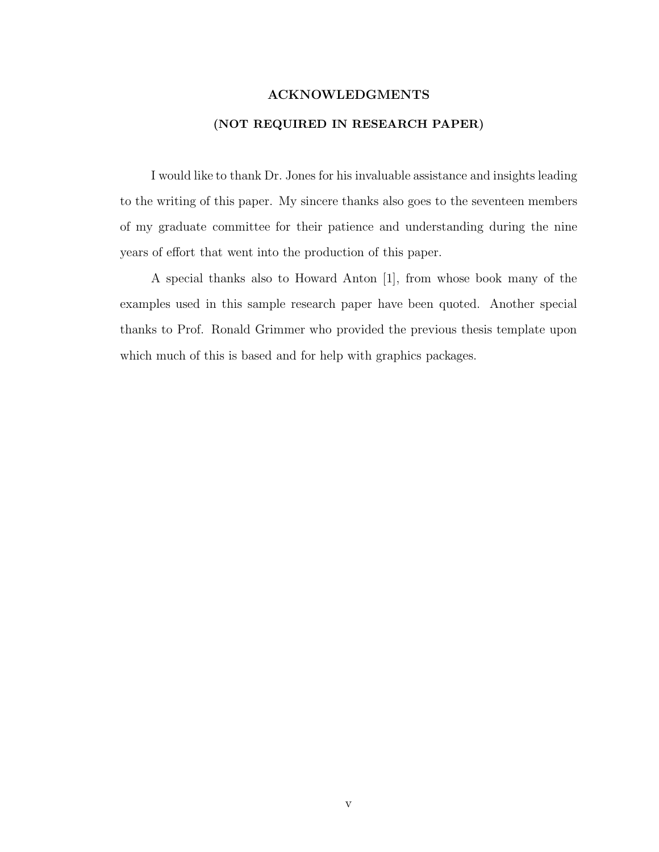# ACKNOWLEDGMENTS (NOT REQUIRED IN RESEARCH PAPER)

I would like to thank Dr. Jones for his invaluable assistance and insights leading to the writing of this paper. My sincere thanks also goes to the seventeen members of my graduate committee for their patience and understanding during the nine years of effort that went into the production of this paper.

A special thanks also to Howard Anton [1], from whose book many of the examples used in this sample research paper have been quoted. Another special thanks to Prof. Ronald Grimmer who provided the previous thesis template upon which much of this is based and for help with graphics packages.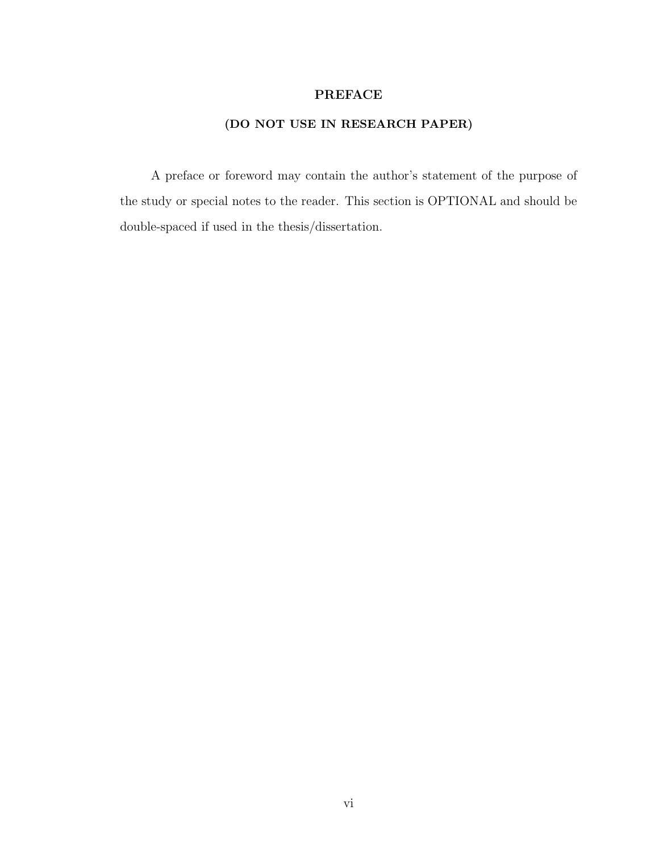### PREFACE

## (DO NOT USE IN RESEARCH PAPER)

A preface or foreword may contain the author's statement of the purpose of the study or special notes to the reader. This section is OPTIONAL and should be double-spaced if used in the thesis/dissertation.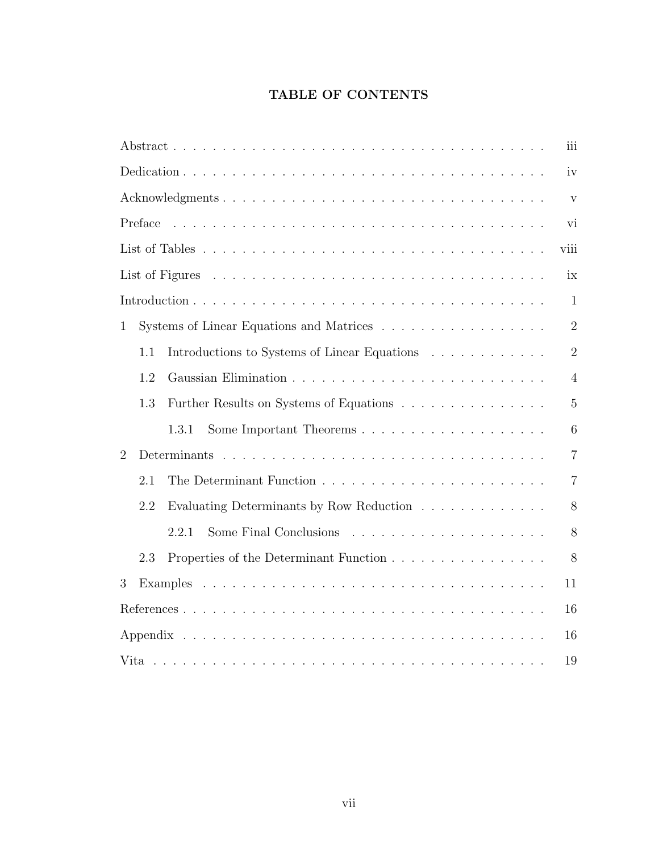## TABLE OF CONTENTS

|                                                                                                                                                                                                                                                                                                                                                                                                                                                                                | iii            |  |  |  |  |  |  |  |  |
|--------------------------------------------------------------------------------------------------------------------------------------------------------------------------------------------------------------------------------------------------------------------------------------------------------------------------------------------------------------------------------------------------------------------------------------------------------------------------------|----------------|--|--|--|--|--|--|--|--|
| iv                                                                                                                                                                                                                                                                                                                                                                                                                                                                             |                |  |  |  |  |  |  |  |  |
| $\overline{\mathbf{V}}$                                                                                                                                                                                                                                                                                                                                                                                                                                                        |                |  |  |  |  |  |  |  |  |
| Preface<br>$\mathcal{L}_{\mathcal{A}}(\mathcal{A},\mathcal{A},\mathcal{A},\mathcal{A},\mathcal{A},\mathcal{A},\mathcal{A},\mathcal{A},\mathcal{A},\mathcal{A},\mathcal{A},\mathcal{A},\mathcal{A},\mathcal{A},\mathcal{A},\mathcal{A},\mathcal{A},\mathcal{A},\mathcal{A},\mathcal{A},\mathcal{A},\mathcal{A},\mathcal{A},\mathcal{A},\mathcal{A},\mathcal{A},\mathcal{A},\mathcal{A},\mathcal{A},\mathcal{A},\mathcal{A},\mathcal{A},\mathcal{A},\mathcal{A},\mathcal{$<br>vi |                |  |  |  |  |  |  |  |  |
| viii                                                                                                                                                                                                                                                                                                                                                                                                                                                                           |                |  |  |  |  |  |  |  |  |
| ix                                                                                                                                                                                                                                                                                                                                                                                                                                                                             |                |  |  |  |  |  |  |  |  |
|                                                                                                                                                                                                                                                                                                                                                                                                                                                                                | $\mathbf{1}$   |  |  |  |  |  |  |  |  |
| Systems of Linear Equations and Matrices<br>$\mathbf{1}$                                                                                                                                                                                                                                                                                                                                                                                                                       | $\overline{2}$ |  |  |  |  |  |  |  |  |
| Introductions to Systems of Linear Equations<br>1.1                                                                                                                                                                                                                                                                                                                                                                                                                            | $\overline{2}$ |  |  |  |  |  |  |  |  |
| 1.2                                                                                                                                                                                                                                                                                                                                                                                                                                                                            | $\overline{4}$ |  |  |  |  |  |  |  |  |
| 1.3<br>Further Results on Systems of Equations                                                                                                                                                                                                                                                                                                                                                                                                                                 | $\overline{5}$ |  |  |  |  |  |  |  |  |
| 1.3.1                                                                                                                                                                                                                                                                                                                                                                                                                                                                          | 6              |  |  |  |  |  |  |  |  |
| $\overline{2}$                                                                                                                                                                                                                                                                                                                                                                                                                                                                 | $\overline{7}$ |  |  |  |  |  |  |  |  |
| 2.1                                                                                                                                                                                                                                                                                                                                                                                                                                                                            | $\overline{7}$ |  |  |  |  |  |  |  |  |
| 2.2<br>Evaluating Determinants by Row Reduction                                                                                                                                                                                                                                                                                                                                                                                                                                | 8              |  |  |  |  |  |  |  |  |
| 2.2.1                                                                                                                                                                                                                                                                                                                                                                                                                                                                          | 8              |  |  |  |  |  |  |  |  |
| Properties of the Determinant Function<br>2.3                                                                                                                                                                                                                                                                                                                                                                                                                                  | 8              |  |  |  |  |  |  |  |  |
| 3                                                                                                                                                                                                                                                                                                                                                                                                                                                                              | 11             |  |  |  |  |  |  |  |  |
|                                                                                                                                                                                                                                                                                                                                                                                                                                                                                | 16             |  |  |  |  |  |  |  |  |
| 16                                                                                                                                                                                                                                                                                                                                                                                                                                                                             |                |  |  |  |  |  |  |  |  |
| 19                                                                                                                                                                                                                                                                                                                                                                                                                                                                             |                |  |  |  |  |  |  |  |  |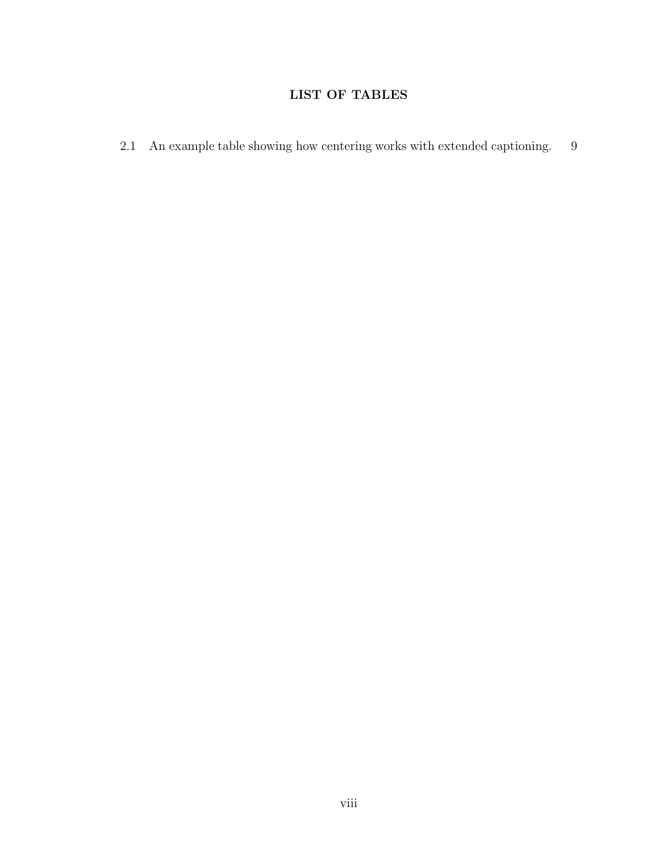## LIST OF TABLES

2.1 An example table showing how centering works with extended captioning. 9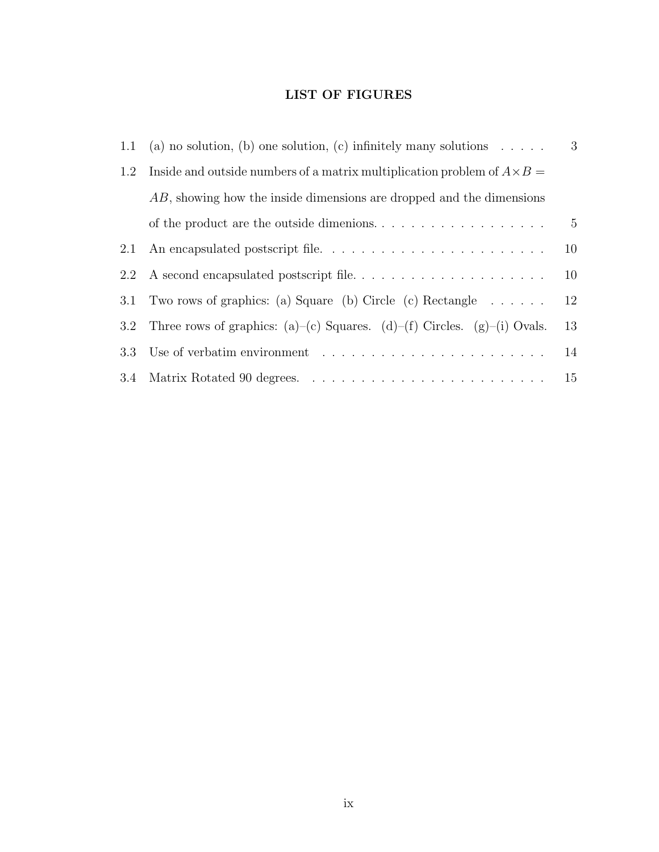## LIST OF FIGURES

|         | 1.1 (a) no solution, (b) one solution, (c) infinitely many solutions $\dots$ .                 | 3              |  |  |  |  |
|---------|------------------------------------------------------------------------------------------------|----------------|--|--|--|--|
| 1.2     | Inside and outside numbers of a matrix multiplication problem of $A \times B =$                |                |  |  |  |  |
|         | AB, showing how the inside dimensions are dropped and the dimensions                           |                |  |  |  |  |
|         | of the product are the outside dimenions. $\ldots$ , $\ldots$ , $\ldots$ , $\ldots$ , $\ldots$ | $\overline{5}$ |  |  |  |  |
| 2.1     |                                                                                                | 10             |  |  |  |  |
| 2.2     |                                                                                                | 10             |  |  |  |  |
| 3.1     | Two rows of graphics: (a) Square (b) Circle (c) Rectangle $\dots \dots$                        | 12             |  |  |  |  |
| $3.2\,$ | Three rows of graphics: (a)–(c) Squares. (d)–(f) Circles. (g)–(i) Ovals.                       | 13             |  |  |  |  |
|         | 3.3 Use of verbatim environment                                                                | 14             |  |  |  |  |
|         |                                                                                                | 15             |  |  |  |  |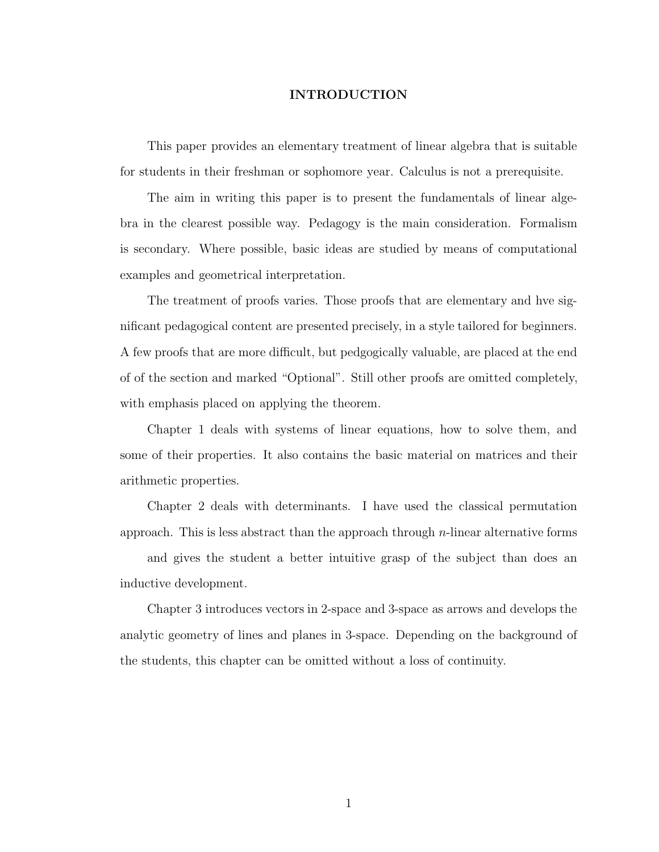#### INTRODUCTION

This paper provides an elementary treatment of linear algebra that is suitable for students in their freshman or sophomore year. Calculus is not a prerequisite.

The aim in writing this paper is to present the fundamentals of linear algebra in the clearest possible way. Pedagogy is the main consideration. Formalism is secondary. Where possible, basic ideas are studied by means of computational examples and geometrical interpretation.

The treatment of proofs varies. Those proofs that are elementary and hve significant pedagogical content are presented precisely, in a style tailored for beginners. A few proofs that are more difficult, but pedgogically valuable, are placed at the end of of the section and marked "Optional". Still other proofs are omitted completely, with emphasis placed on applying the theorem.

Chapter 1 deals with systems of linear equations, how to solve them, and some of their properties. It also contains the basic material on matrices and their arithmetic properties.

Chapter 2 deals with determinants. I have used the classical permutation approach. This is less abstract than the approach through  $n$ -linear alternative forms

and gives the student a better intuitive grasp of the subject than does an inductive development.

Chapter 3 introduces vectors in 2-space and 3-space as arrows and develops the analytic geometry of lines and planes in 3-space. Depending on the background of the students, this chapter can be omitted without a loss of continuity.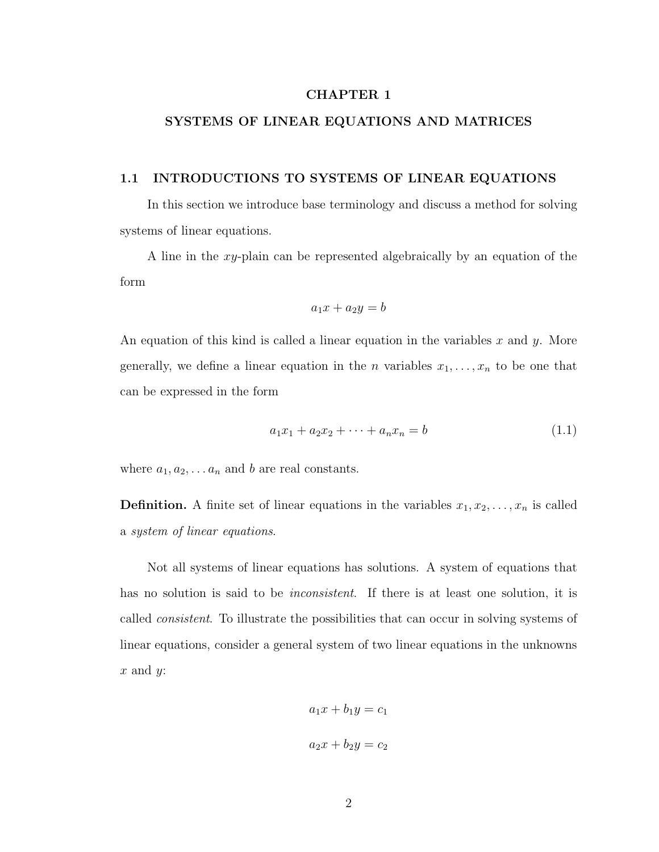### CHAPTER 1

### SYSTEMS OF LINEAR EQUATIONS AND MATRICES

#### 1.1 INTRODUCTIONS TO SYSTEMS OF LINEAR EQUATIONS

In this section we introduce base terminology and discuss a method for solving systems of linear equations.

A line in the xy-plain can be represented algebraically by an equation of the form

$$
a_1x + a_2y = b
$$

An equation of this kind is called a linear equation in the variables x and y. More generally, we define a linear equation in the *n* variables  $x_1, \ldots, x_n$  to be one that can be expressed in the form

$$
a_1x_1 + a_2x_2 + \dots + a_nx_n = b \tag{1.1}
$$

where  $a_1, a_2, \ldots, a_n$  and b are real constants.

**Definition.** A finite set of linear equations in the variables  $x_1, x_2, \ldots, x_n$  is called a system of linear equations.

Not all systems of linear equations has solutions. A system of equations that has no solution is said to be *inconsistent*. If there is at least one solution, it is called consistent. To illustrate the possibilities that can occur in solving systems of linear equations, consider a general system of two linear equations in the unknowns  $x$  and  $y$ :

$$
a_1x + b_1y = c_1
$$

$$
a_2x + b_2y = c_2
$$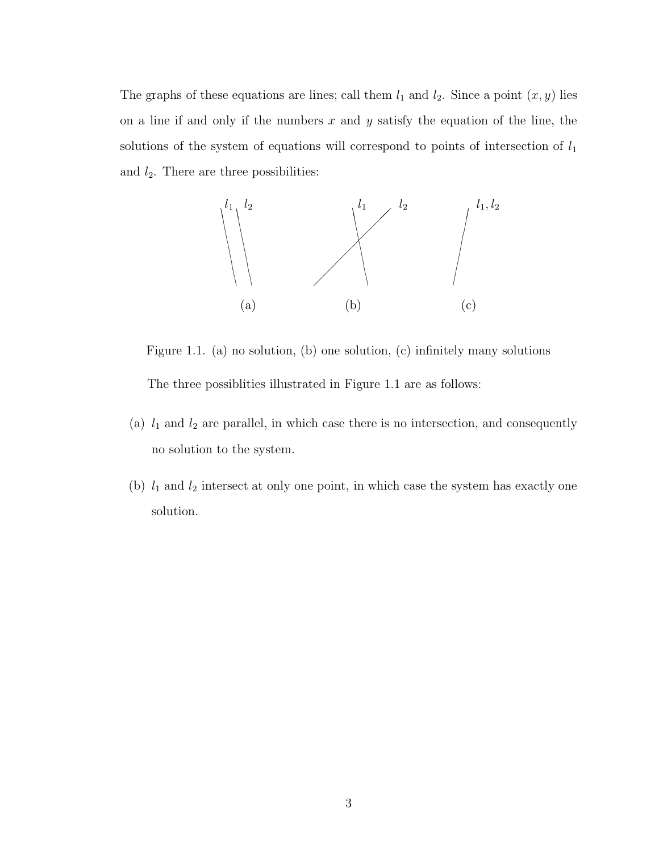The graphs of these equations are lines; call them  $l_1$  and  $l_2$ . Since a point  $(x, y)$  lies on a line if and only if the numbers  $x$  and  $y$  satisfy the equation of the line, the solutions of the system of equations will correspond to points of intersection of  $l_1$ and  $l_2$ . There are three possibilities:



Figure 1.1. (a) no solution, (b) one solution, (c) infinitely many solutions The three possiblities illustrated in Figure 1.1 are as follows:

- (a)  $l_1$  and  $l_2$  are parallel, in which case there is no intersection, and consequently no solution to the system.
- (b)  $l_1$  and  $l_2$  intersect at only one point, in which case the system has exactly one solution.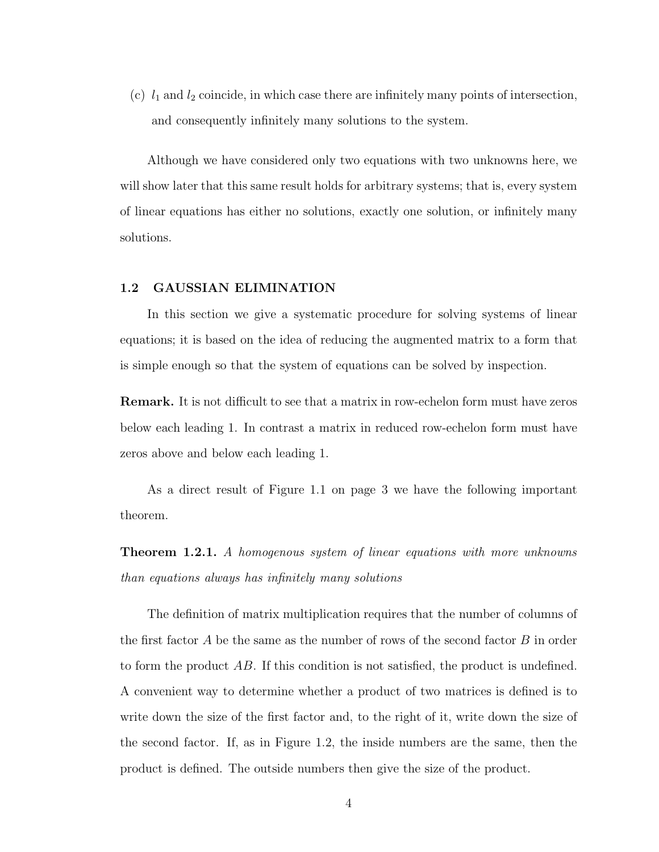(c)  $l_1$  and  $l_2$  coincide, in which case there are infinitely many points of intersection, and consequently infinitely many solutions to the system.

Although we have considered only two equations with two unknowns here, we will show later that this same result holds for arbitrary systems; that is, every system of linear equations has either no solutions, exactly one solution, or infinitely many solutions.

#### 1.2 GAUSSIAN ELIMINATION

In this section we give a systematic procedure for solving systems of linear equations; it is based on the idea of reducing the augmented matrix to a form that is simple enough so that the system of equations can be solved by inspection.

Remark. It is not difficult to see that a matrix in row-echelon form must have zeros below each leading 1. In contrast a matrix in reduced row-echelon form must have zeros above and below each leading 1.

As a direct result of Figure 1.1 on page 3 we have the following important theorem.

**Theorem 1.2.1.** A homogenous system of linear equations with more unknowns than equations always has infinitely many solutions

The definition of matrix multiplication requires that the number of columns of the first factor  $A$  be the same as the number of rows of the second factor  $B$  in order to form the product AB. If this condition is not satisfied, the product is undefined. A convenient way to determine whether a product of two matrices is defined is to write down the size of the first factor and, to the right of it, write down the size of the second factor. If, as in Figure 1.2, the inside numbers are the same, then the product is defined. The outside numbers then give the size of the product.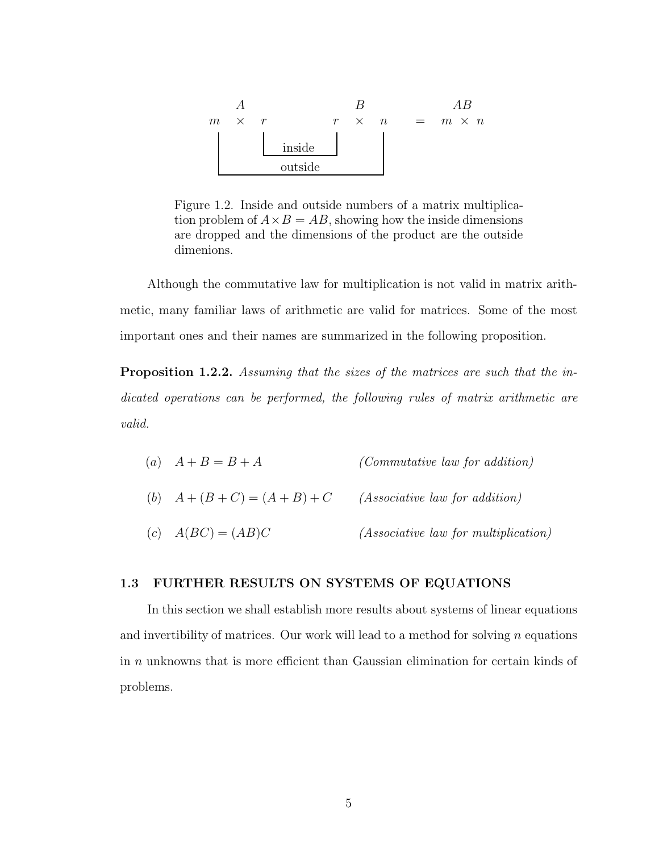

Figure 1.2. Inside and outside numbers of a matrix multiplication problem of  $A \times B = AB$ , showing how the inside dimensions are dropped and the dimensions of the product are the outside dimenions.

Although the commutative law for multiplication is not valid in matrix arithmetic, many familiar laws of arithmetic are valid for matrices. Some of the most important ones and their names are summarized in the following proposition.

Proposition 1.2.2. Assuming that the sizes of the matrices are such that the indicated operations can be performed, the following rules of matrix arithmetic are valid.

- (a)  $A + B = B + A$  (Commutative law for addition)
- (b)  $A + (B + C) = (A + B) + C$  (Associative law for addition)
- (c)  $A(BC) = (AB)C$  (Associative law for multiplication)

#### 1.3 FURTHER RESULTS ON SYSTEMS OF EQUATIONS

In this section we shall establish more results about systems of linear equations and invertibility of matrices. Our work will lead to a method for solving  $n$  equations in n unknowns that is more efficient than Gaussian elimination for certain kinds of problems.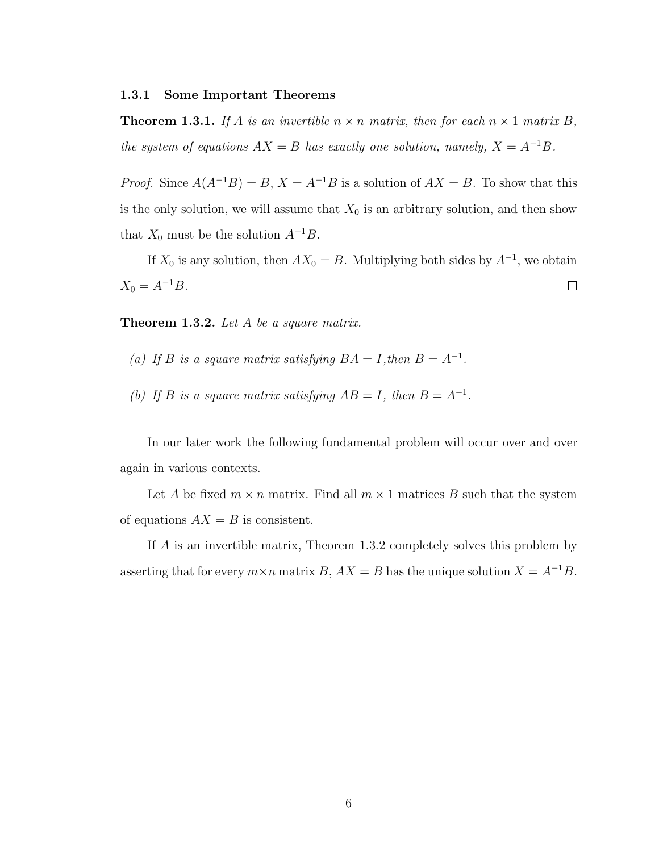#### 1.3.1 Some Important Theorems

**Theorem 1.3.1.** If A is an invertible  $n \times n$  matrix, then for each  $n \times 1$  matrix B, the system of equations  $AX = B$  has exactly one solution, namely,  $X = A^{-1}B$ .

*Proof.* Since  $A(A^{-1}B) = B$ ,  $X = A^{-1}B$  is a solution of  $AX = B$ . To show that this is the only solution, we will assume that  $X_0$  is an arbitrary solution, and then show that  $X_0$  must be the solution  $A^{-1}B$ .

If  $X_0$  is any solution, then  $AX_0 = B$ . Multiplying both sides by  $A^{-1}$ , we obtain  $X_0 = A^{-1}B.$  $\Box$ 

**Theorem 1.3.2.** Let  $A$  be a square matrix.

- (a) If B is a square matrix satisfying  $BA = I$ , then  $B = A^{-1}$ .
- (b) If B is a square matrix satisfying  $AB = I$ , then  $B = A^{-1}$ .

In our later work the following fundamental problem will occur over and over again in various contexts.

Let A be fixed  $m \times n$  matrix. Find all  $m \times 1$  matrices B such that the system of equations  $AX = B$  is consistent.

If A is an invertible matrix, Theorem 1.3.2 completely solves this problem by asserting that for every  $m \times n$  matrix B,  $AX = B$  has the unique solution  $X = A^{-1}B$ .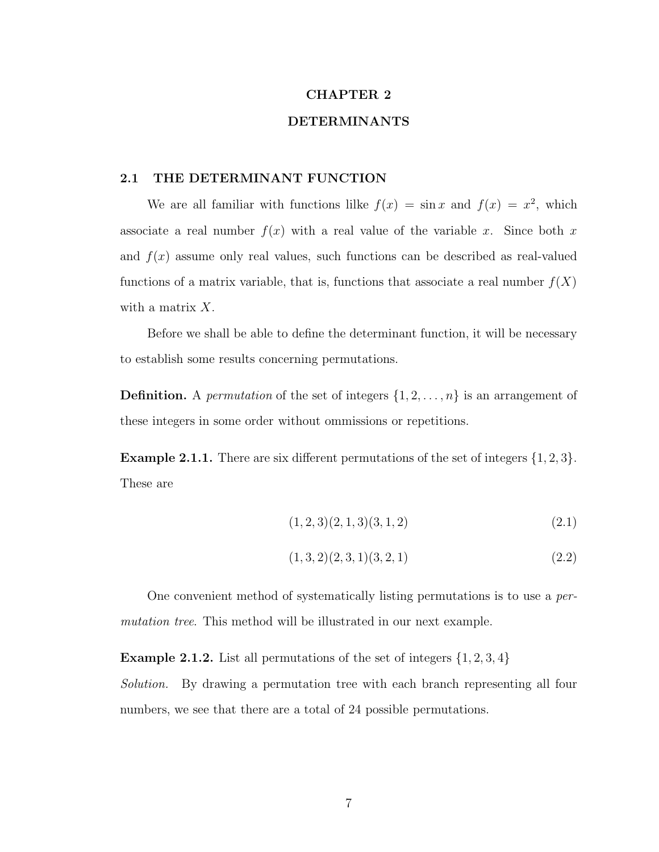### CHAPTER 2

#### DETERMINANTS

#### 2.1 THE DETERMINANT FUNCTION

We are all familiar with functions lilke  $f(x) = \sin x$  and  $f(x) = x^2$ , which associate a real number  $f(x)$  with a real value of the variable x. Since both x and  $f(x)$  assume only real values, such functions can be described as real-valued functions of a matrix variable, that is, functions that associate a real number  $f(X)$ with a matrix X.

Before we shall be able to define the determinant function, it will be necessary to establish some results concerning permutations.

**Definition.** A *permutation* of the set of integers  $\{1, 2, \ldots, n\}$  is an arrangement of these integers in some order without ommissions or repetitions.

**Example 2.1.1.** There are six different permutations of the set of integers  $\{1, 2, 3\}$ . These are

$$
(1,2,3)(2,1,3)(3,1,2) \tag{2.1}
$$

$$
(1,3,2)(2,3,1)(3,2,1) \tag{2.2}
$$

One convenient method of systematically listing permutations is to use a permutation tree. This method will be illustrated in our next example.

**Example 2.1.2.** List all permutations of the set of integers  $\{1, 2, 3, 4\}$ Solution. By drawing a permutation tree with each branch representing all four numbers, we see that there are a total of 24 possible permutations.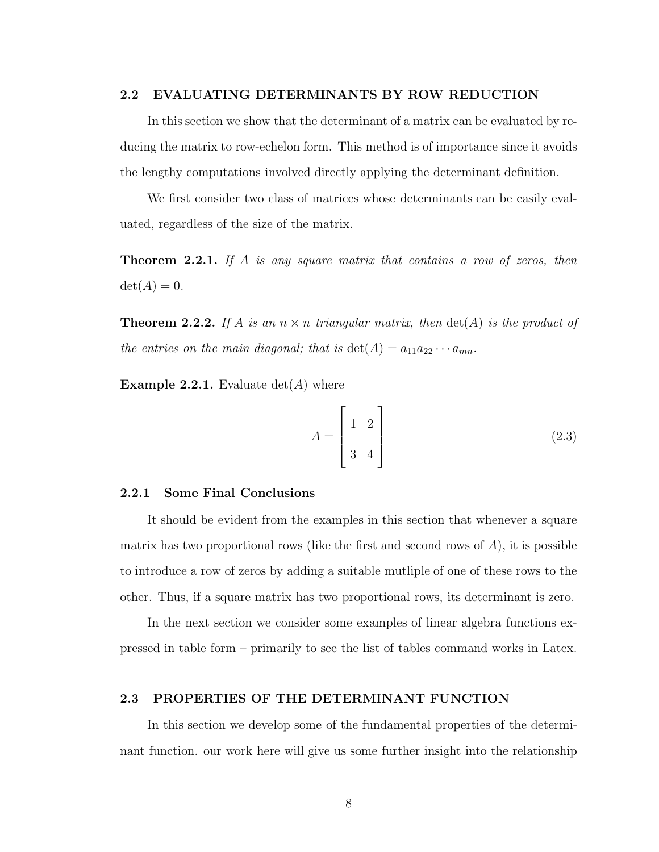#### 2.2 EVALUATING DETERMINANTS BY ROW REDUCTION

In this section we show that the determinant of a matrix can be evaluated by reducing the matrix to row-echelon form. This method is of importance since it avoids the lengthy computations involved directly applying the determinant definition.

We first consider two class of matrices whose determinants can be easily evaluated, regardless of the size of the matrix.

**Theorem 2.2.1.** If A is any square matrix that contains a row of zeros, then  $\det(A) = 0.$ 

**Theorem 2.2.2.** If A is an  $n \times n$  triangular matrix, then  $\det(A)$  is the product of the entries on the main diagonal; that is  $\det(A) = a_{11}a_{22} \cdots a_{mn}$ .

**Example 2.2.1.** Evaluate  $det(A)$  where

$$
A = \begin{bmatrix} 1 & 2 \\ 3 & 4 \end{bmatrix}
$$
 (2.3)

#### 2.2.1 Some Final Conclusions

It should be evident from the examples in this section that whenever a square matrix has two proportional rows (like the first and second rows of  $A$ ), it is possible to introduce a row of zeros by adding a suitable mutliple of one of these rows to the other. Thus, if a square matrix has two proportional rows, its determinant is zero.

In the next section we consider some examples of linear algebra functions expressed in table form – primarily to see the list of tables command works in Latex.

#### 2.3 PROPERTIES OF THE DETERMINANT FUNCTION

In this section we develop some of the fundamental properties of the determinant function. our work here will give us some further insight into the relationship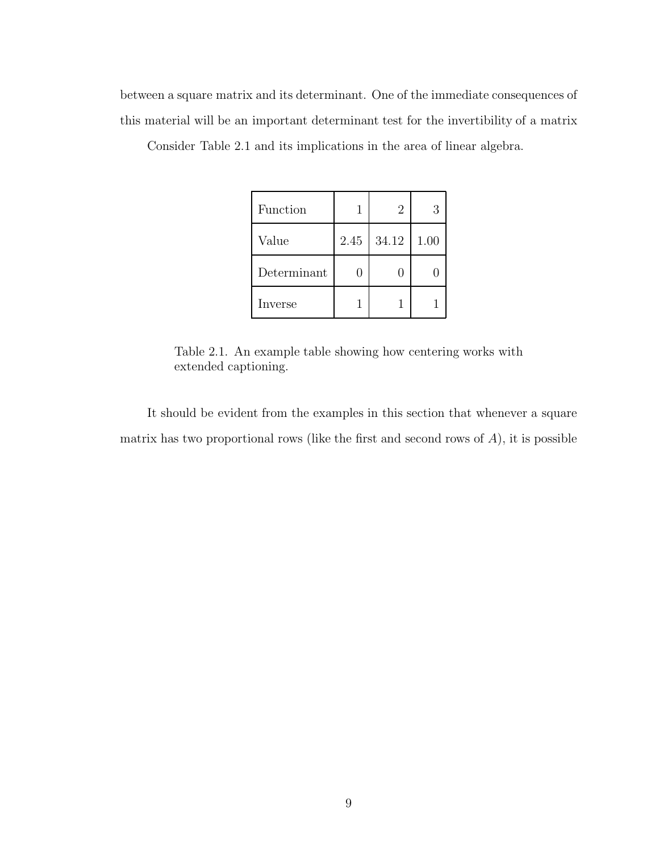between a square matrix and its determinant. One of the immediate consequences of this material will be an important determinant test for the invertibility of a matrix

| Function    |      | 2     | З    |
|-------------|------|-------|------|
| Value       | 2.45 | 34.12 | 1.00 |
| Determinant |      |       |      |
| Inverse     |      |       |      |

Consider Table 2.1 and its implications in the area of linear algebra.

Table 2.1. An example table showing how centering works with extended captioning.

It should be evident from the examples in this section that whenever a square matrix has two proportional rows (like the first and second rows of  $A$ ), it is possible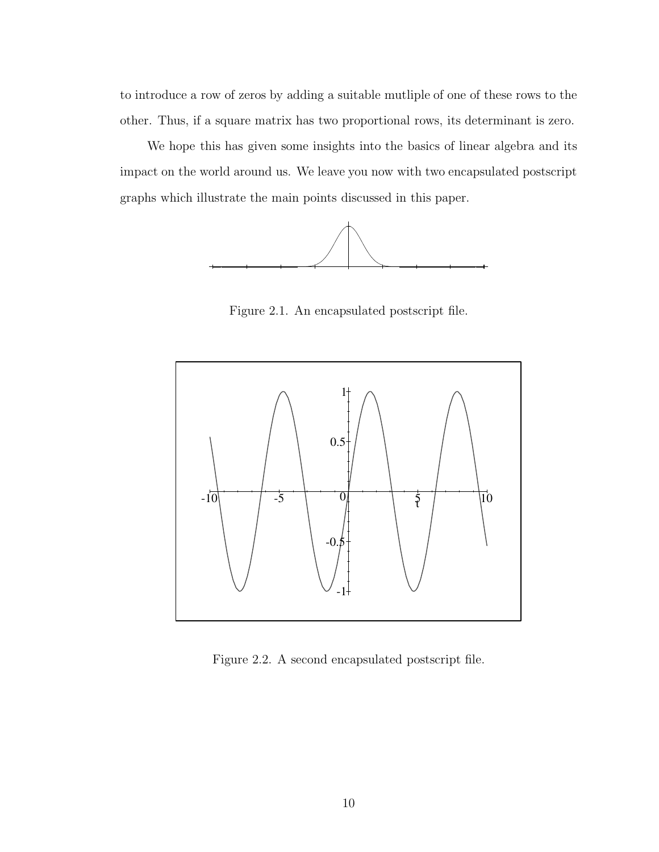to introduce a row of zeros by adding a suitable mutliple of one of these rows to the other. Thus, if a square matrix has two proportional rows, its determinant is zero.

We hope this has given some insights into the basics of linear algebra and its impact on the world around us. We leave you now with two encapsulated postscript graphs which illustrate the main points discussed in this paper.



Figure 2.1. An encapsulated postscript file.



Figure 2.2. A second encapsulated postscript file.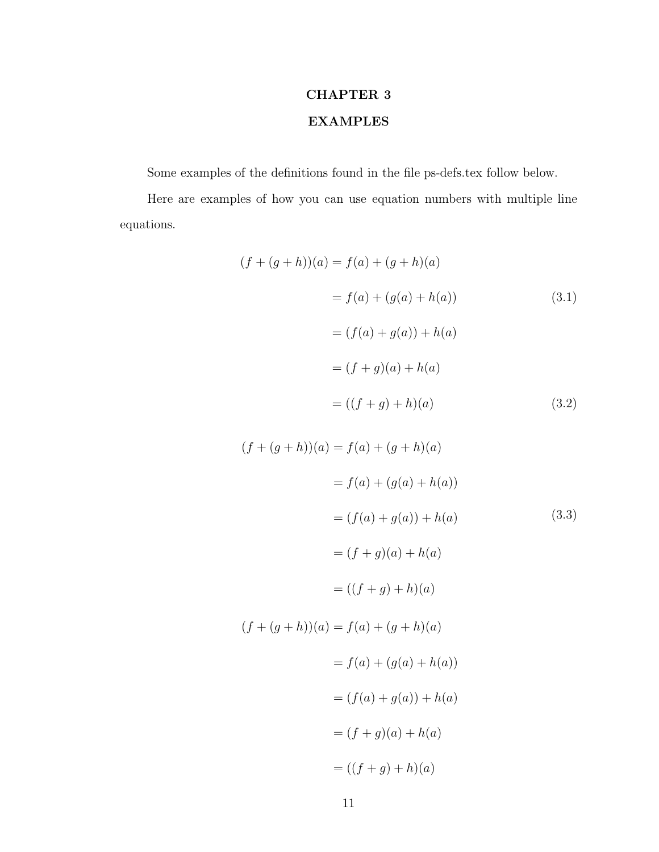# CHAPTER 3 EXAMPLES

Some examples of the definitions found in the file ps-defs.tex follow below.

Here are examples of how you can use equation numbers with multiple line equations.

$$
(f + (g + h))(a) = f(a) + (g + h)(a)
$$
  
=  $f(a) + (g(a) + h(a))$  (3.1)  
=  $(f(a) + g(a)) + h(a)$   
=  $(f + g)(a) + h(a)$   
=  $((f + g) + h)(a)$  (3.2)

$$
(f + (g + h))(a) = f(a) + (g + h)(a)
$$
  
=  $f(a) + (g(a) + h(a))$   
=  $(f(a) + g(a)) + h(a)$  (3.3)  
=  $(f + g)(a) + h(a)$   
=  $((f + g) + h)(a)$   
 $(f + (g + h))(a) = f(a) + (g + h)(a)$   
=  $f(a) + (g(a) + h(a))$   
=  $(f(a) + g(a)) + h(a)$   
=  $(f + g)(a) + h(a)$   
=  $((f + g) + h)(a)$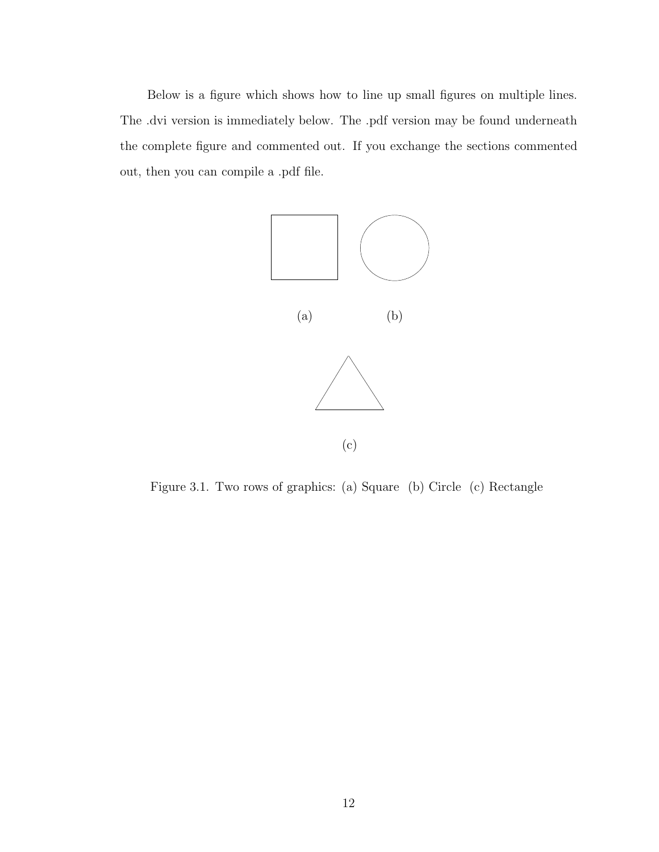Below is a figure which shows how to line up small figures on multiple lines. The .dvi version is immediately below. The .pdf version may be found underneath the complete figure and commented out. If you exchange the sections commented out, then you can compile a .pdf file.



Figure 3.1. Two rows of graphics: (a) Square (b) Circle (c) Rectangle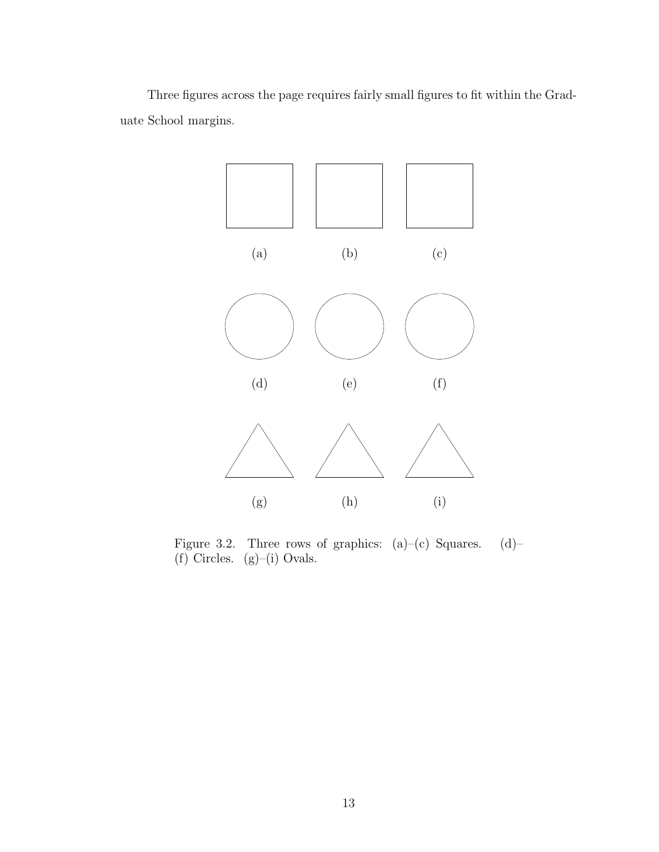Three figures across the page requires fairly small figures to fit within the Graduate School margins.



Figure 3.2. Three rows of graphics:  $(a)-(c)$  Squares.  $(d)-$ (f) Circles. (g)–(i) Ovals.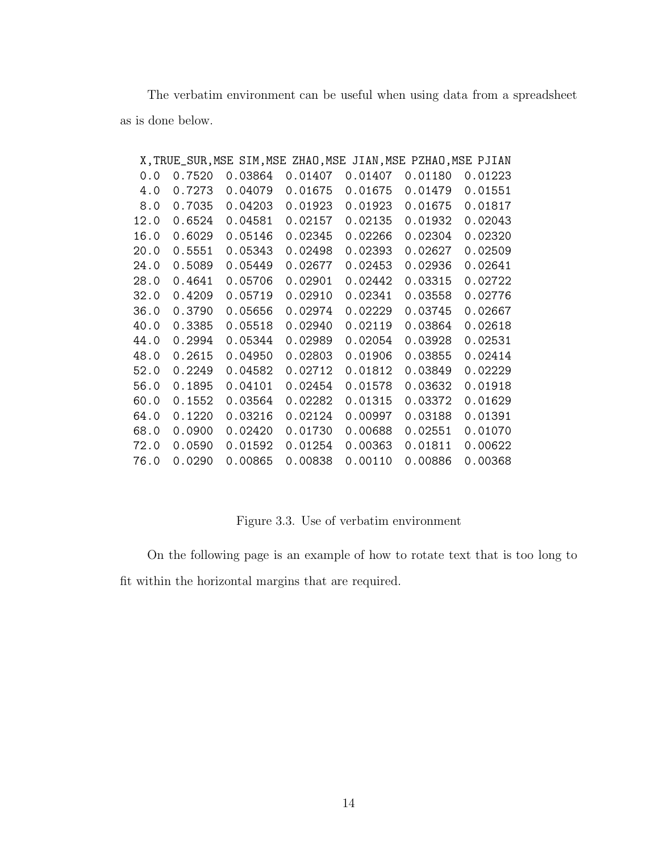The verbatim environment can be useful when using data from a spreadsheet as is done below.

|      |        | X, TRUE_SUR, MSE SIM, MSE ZHAO, MSE JIAN, MSE PZHAO, MSE PJIAN |         |         |         |         |
|------|--------|----------------------------------------------------------------|---------|---------|---------|---------|
| 0.0  | 0.7520 | 0.03864                                                        | 0.01407 | 0.01407 | 0.01180 | 0.01223 |
| 4.0  | 0.7273 | 0.04079                                                        | 0.01675 | 0.01675 | 0.01479 | 0.01551 |
| 8.0  | 0.7035 | 0.04203                                                        | 0.01923 | 0.01923 | 0.01675 | 0.01817 |
| 12.0 | 0.6524 | 0.04581                                                        | 0.02157 | 0.02135 | 0.01932 | 0.02043 |
| 16.0 | 0.6029 | 0.05146                                                        | 0.02345 | 0.02266 | 0.02304 | 0.02320 |
| 20.0 | 0.5551 | 0.05343                                                        | 0.02498 | 0.02393 | 0.02627 | 0.02509 |
| 24.0 | 0.5089 | 0.05449                                                        | 0.02677 | 0.02453 | 0.02936 | 0.02641 |
| 28.0 | 0.4641 | 0.05706                                                        | 0.02901 | 0.02442 | 0.03315 | 0.02722 |
| 32.0 | 0.4209 | 0.05719                                                        | 0.02910 | 0.02341 | 0.03558 | 0.02776 |
| 36.0 | 0.3790 | 0.05656                                                        | 0.02974 | 0.02229 | 0.03745 | 0.02667 |
| 40.0 | 0.3385 | 0.05518                                                        | 0.02940 | 0.02119 | 0.03864 | 0.02618 |
| 44.0 | 0.2994 | 0.05344                                                        | 0.02989 | 0.02054 | 0.03928 | 0.02531 |
| 48.0 | 0.2615 | 0.04950                                                        | 0.02803 | 0.01906 | 0.03855 | 0.02414 |
| 52.0 | 0.2249 | 0.04582                                                        | 0.02712 | 0.01812 | 0.03849 | 0.02229 |
| 56.0 | 0.1895 | 0.04101                                                        | 0.02454 | 0.01578 | 0.03632 | 0.01918 |
| 60.0 | 0.1552 | 0.03564                                                        | 0.02282 | 0.01315 | 0.03372 | 0.01629 |
| 64.0 | 0.1220 | 0.03216                                                        | 0.02124 | 0.00997 | 0.03188 | 0.01391 |
| 68.0 | 0.0900 | 0.02420                                                        | 0.01730 | 0.00688 | 0.02551 | 0.01070 |
| 72.0 | 0.0590 | 0.01592                                                        | 0.01254 | 0.00363 | 0.01811 | 0.00622 |
| 76.0 | 0.0290 | 0.00865                                                        | 0.00838 | 0.00110 | 0.00886 | 0.00368 |

Figure 3.3. Use of verbatim environment

On the following page is an example of how to rotate text that is too long to fit within the horizontal margins that are required.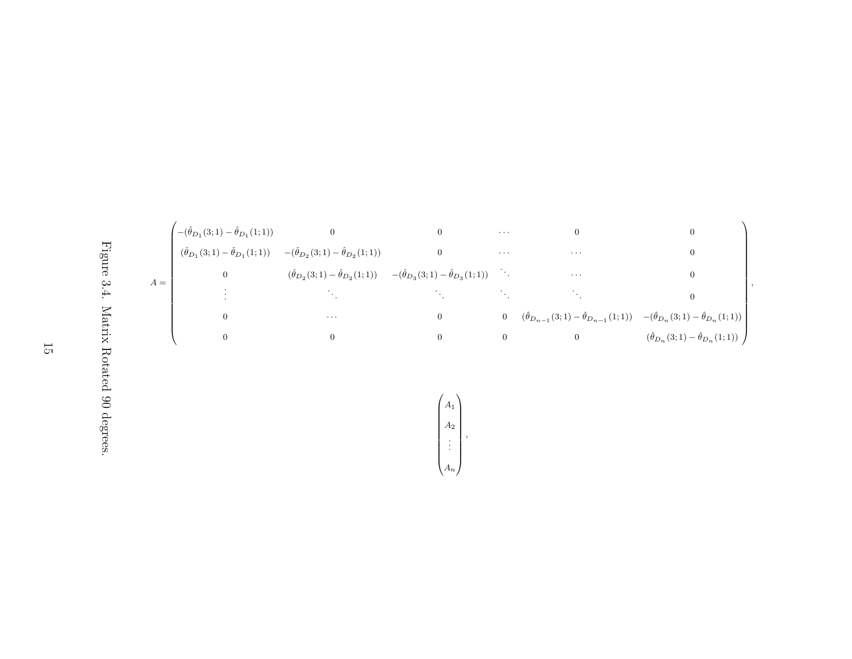



Figure 3.4. Matrix Rotated 90 degrees. Figure 3.4. Matrix Rotated 90 degrees.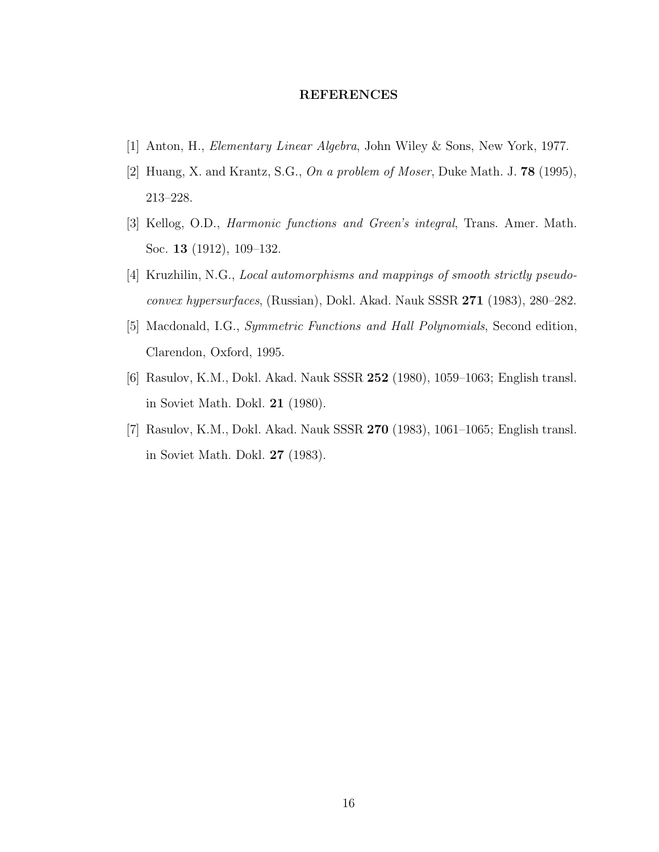#### REFERENCES

- [1] Anton, H., Elementary Linear Algebra, John Wiley & Sons, New York, 1977.
- [2] Huang, X. and Krantz, S.G., On a problem of Moser, Duke Math. J. **78** (1995), 213–228.
- [3] Kellog, O.D., Harmonic functions and Green's integral, Trans. Amer. Math. Soc. 13 (1912), 109–132.
- [4] Kruzhilin, N.G., Local automorphisms and mappings of smooth strictly pseudoconvex hypersurfaces, (Russian), Dokl. Akad. Nauk SSSR 271 (1983), 280–282.
- [5] Macdonald, I.G., Symmetric Functions and Hall Polynomials, Second edition, Clarendon, Oxford, 1995.
- [6] Rasulov, K.M., Dokl. Akad. Nauk SSSR 252 (1980), 1059–1063; English transl. in Soviet Math. Dokl. 21 (1980).
- [7] Rasulov, K.M., Dokl. Akad. Nauk SSSR 270 (1983), 1061–1065; English transl. in Soviet Math. Dokl. 27 (1983).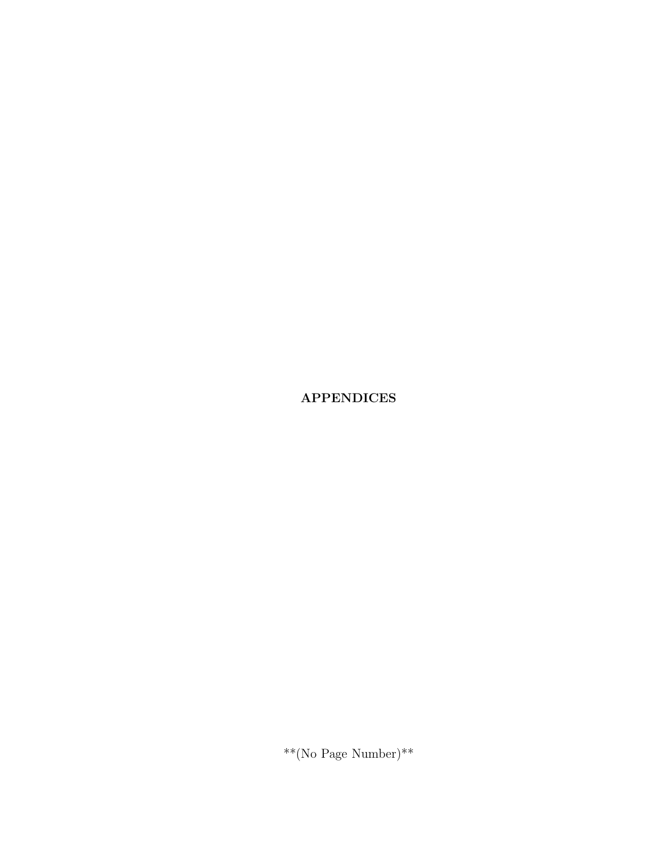APPENDICES

 $^{**}$ (No Page Number)\*\*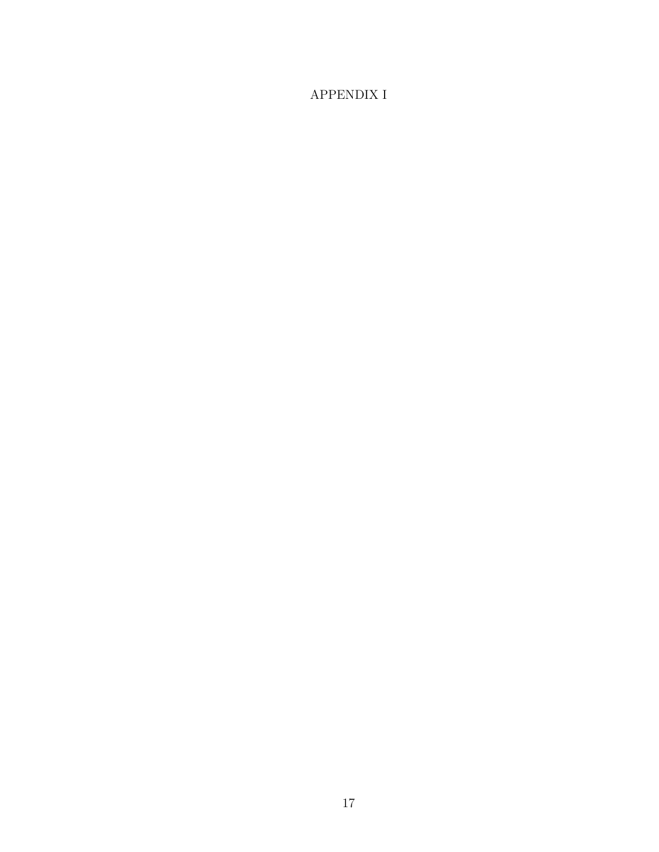## APPENDIX I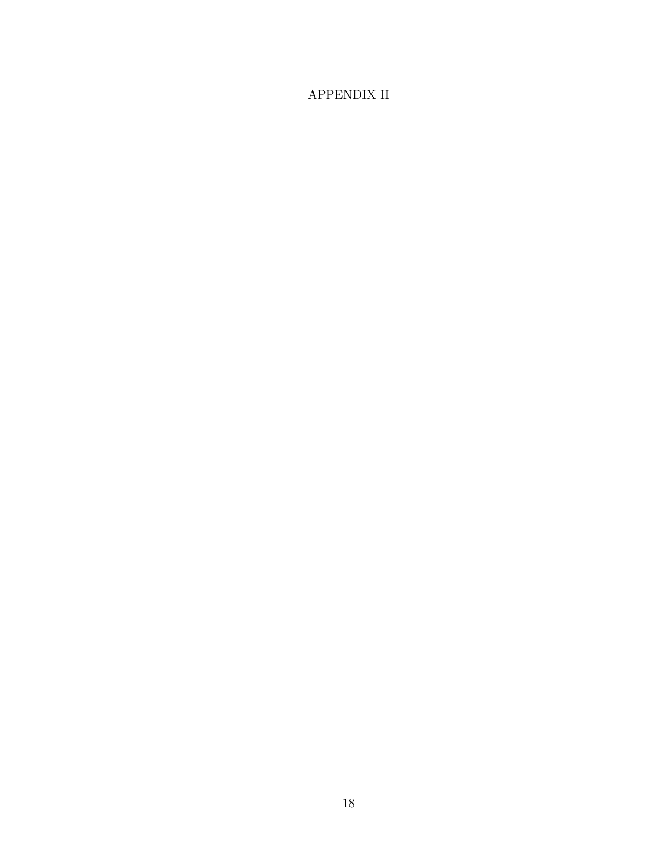## APPENDIX II